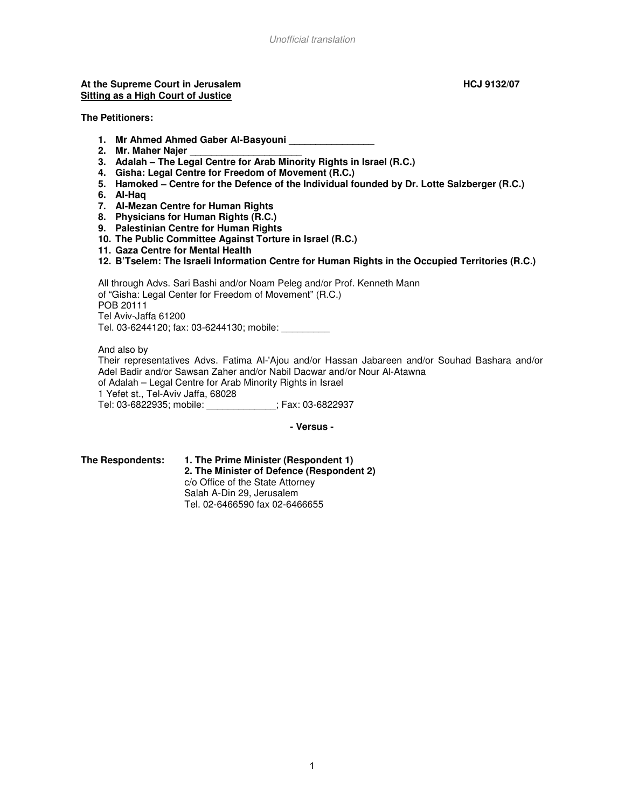#### At the Supreme Court in Jerusalem **Access 2008 HCJ 9132/07 HCJ 9132/07 Sitting as a High Court of Justice**

**The Petitioners:** 

- **1. Mr Ahmed Ahmed Gaber Al-Basyouni \_\_\_\_\_\_\_\_\_\_\_\_\_\_\_\_**
- 2. Mr. Maher Najer
- **3. Adalah The Legal Centre for Arab Minority Rights in Israel (R.C.)**
- **4. Gisha: Legal Centre for Freedom of Movement (R.C.)**
- **5. Hamoked Centre for the Defence of the Individual founded by Dr. Lotte Salzberger (R.C.)**
- **6. Al-Haq**
- **7. Al-Mezan Centre for Human Rights**
- **8. Physicians for Human Rights (R.C.)**
- **9. Palestinian Centre for Human Rights**
- **10. The Public Committee Against Torture in Israel (R.C.)**
- **11. Gaza Centre for Mental Health**
- **12. B'Tselem: The Israeli Information Centre for Human Rights in the Occupied Territories (R.C.)**

All through Advs. Sari Bashi and/or Noam Peleg and/or Prof. Kenneth Mann of "Gisha: Legal Center for Freedom of Movement" (R.C.) POB 20111 Tel Aviv-Jaffa 61200 Tel. 03-6244120; fax: 03-6244130; mobile: \_\_\_\_\_\_\_\_\_

And also by Their representatives Advs. Fatima Al-'Ajou and/or Hassan Jabareen and/or Souhad Bashara and/or Adel Badir and/or Sawsan Zaher and/or Nabil Dacwar and/or Nour Al-Atawna of Adalah – Legal Centre for Arab Minority Rights in Israel 1 Yefet st., Tel-Aviv Jaffa, 68028 Tel: 03-6822935; mobile: \_\_\_\_\_\_\_\_\_\_\_\_\_; Fax: 03-6822937

**- Versus -** 

**The Respondents: 1. The Prime Minister (Respondent 1) 2. The Minister of Defence (Respondent 2)**  c/o Office of the State Attorney Salah A-Din 29, Jerusalem Tel. 02-6466590 fax 02-6466655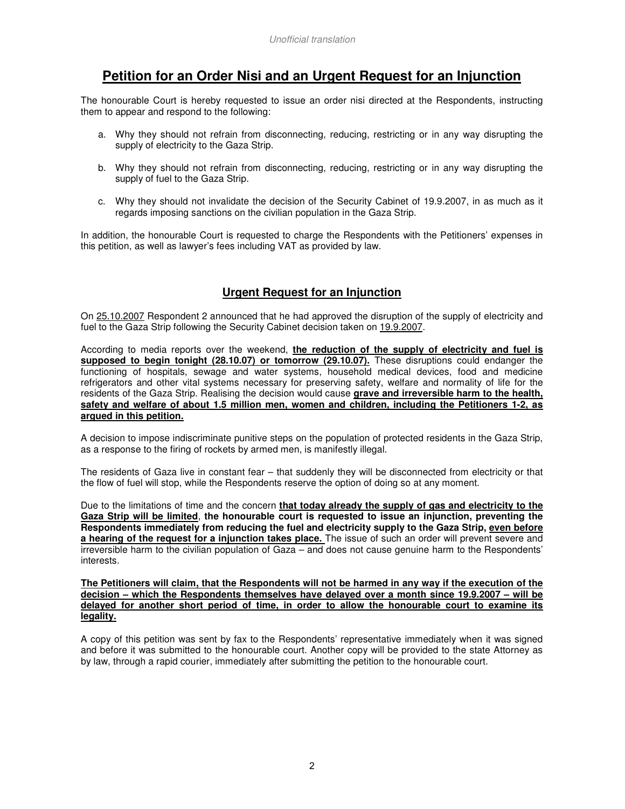# **Petition for an Order Nisi and an Urgent Request for an Injunction**

The honourable Court is hereby requested to issue an order nisi directed at the Respondents, instructing them to appear and respond to the following:

- a. Why they should not refrain from disconnecting, reducing, restricting or in any way disrupting the supply of electricity to the Gaza Strip.
- b. Why they should not refrain from disconnecting, reducing, restricting or in any way disrupting the supply of fuel to the Gaza Strip.
- c. Why they should not invalidate the decision of the Security Cabinet of 19.9.2007, in as much as it regards imposing sanctions on the civilian population in the Gaza Strip.

In addition, the honourable Court is requested to charge the Respondents with the Petitioners' expenses in this petition, as well as lawyer's fees including VAT as provided by law.

# **Urgent Request for an Injunction**

On 25.10.2007 Respondent 2 announced that he had approved the disruption of the supply of electricity and fuel to the Gaza Strip following the Security Cabinet decision taken on 19.9.2007.

According to media reports over the weekend, **the reduction of the supply of electricity and fuel is supposed to begin tonight (28.10.07) or tomorrow (29.10.07).** These disruptions could endanger the functioning of hospitals, sewage and water systems, household medical devices, food and medicine refrigerators and other vital systems necessary for preserving safety, welfare and normality of life for the residents of the Gaza Strip. Realising the decision would cause **grave and irreversible harm to the health, safety and welfare of about 1.5 million men, women and children, including the Petitioners 1-2, as argued in this petition.**

A decision to impose indiscriminate punitive steps on the population of protected residents in the Gaza Strip, as a response to the firing of rockets by armed men, is manifestly illegal.

The residents of Gaza live in constant fear – that suddenly they will be disconnected from electricity or that the flow of fuel will stop, while the Respondents reserve the option of doing so at any moment.

Due to the limitations of time and the concern **that today already the supply of gas and electricity to the Gaza Strip will be limited**, **the honourable court is requested to issue an injunction, preventing the Respondents immediately from reducing the fuel and electricity supply to the Gaza Strip, even before a hearing of the request for a injunction takes place.** The issue of such an order will prevent severe and irreversible harm to the civilian population of Gaza – and does not cause genuine harm to the Respondents' interests.

**The Petitioners will claim, that the Respondents will not be harmed in any way if the execution of the decision – which the Respondents themselves have delayed over a month since 19.9.2007 – will be delayed for another short period of time, in order to allow the honourable court to examine its legality.**

A copy of this petition was sent by fax to the Respondents' representative immediately when it was signed and before it was submitted to the honourable court. Another copy will be provided to the state Attorney as by law, through a rapid courier, immediately after submitting the petition to the honourable court.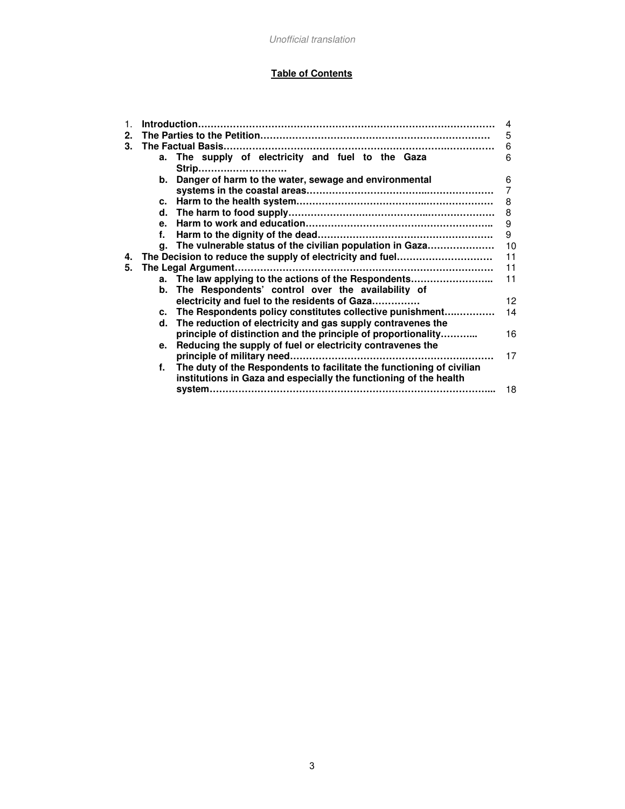# **Table of Contents**

| $\mathbf{1}$ . |              |                                                                          |                |
|----------------|--------------|--------------------------------------------------------------------------|----------------|
| 2.             |              |                                                                          | 5              |
| 3.             |              |                                                                          | 6              |
|                |              | a. The supply of electricity and fuel to the Gaza                        | 6              |
|                |              | Strip                                                                    |                |
|                |              | b. Danger of harm to the water, sewage and environmental                 | 6              |
|                |              |                                                                          | $\overline{7}$ |
|                |              |                                                                          | 8              |
|                |              |                                                                          | 8              |
|                | $\mathbf{e}$ |                                                                          | 9              |
|                | f.           |                                                                          | 9              |
|                |              | g. The vulnerable status of the civilian population in Gaza              | 10             |
|                |              |                                                                          | 11             |
| 4.             |              | The Decision to reduce the supply of electricity and fuel                |                |
| 5.             |              |                                                                          | 11             |
|                |              | a. The law applying to the actions of the Respondents                    | 11             |
|                |              | b. The Respondents' control over the availability of                     |                |
|                |              | electricity and fuel to the residents of Gaza                            | 12             |
|                |              | c. The Respondents policy constitutes collective punishment              | 14             |
|                |              | d. The reduction of electricity and gas supply contravenes the           |                |
|                |              | principle of distinction and the principle of proportionality            | 16             |
|                | $e_{1}$      | Reducing the supply of fuel or electricity contravenes the               |                |
|                |              |                                                                          | 17             |
|                |              | f. The duty of the Respondents to facilitate the functioning of civilian |                |
|                |              | institutions in Gaza and especially the functioning of the health        |                |
|                |              |                                                                          | 18             |
|                |              |                                                                          |                |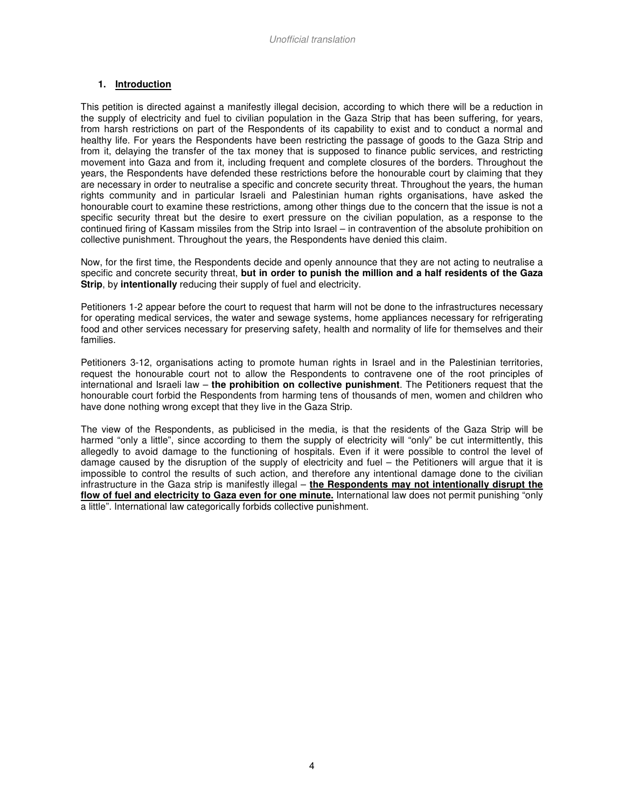# **1. Introduction**

This petition is directed against a manifestly illegal decision, according to which there will be a reduction in the supply of electricity and fuel to civilian population in the Gaza Strip that has been suffering, for years, from harsh restrictions on part of the Respondents of its capability to exist and to conduct a normal and healthy life. For years the Respondents have been restricting the passage of goods to the Gaza Strip and from it, delaying the transfer of the tax money that is supposed to finance public services, and restricting movement into Gaza and from it, including frequent and complete closures of the borders. Throughout the years, the Respondents have defended these restrictions before the honourable court by claiming that they are necessary in order to neutralise a specific and concrete security threat. Throughout the years, the human rights community and in particular Israeli and Palestinian human rights organisations, have asked the honourable court to examine these restrictions, among other things due to the concern that the issue is not a specific security threat but the desire to exert pressure on the civilian population, as a response to the continued firing of Kassam missiles from the Strip into Israel – in contravention of the absolute prohibition on collective punishment. Throughout the years, the Respondents have denied this claim.

Now, for the first time, the Respondents decide and openly announce that they are not acting to neutralise a specific and concrete security threat, **but in order to punish the million and a half residents of the Gaza Strip**, by **intentionally** reducing their supply of fuel and electricity.

Petitioners 1-2 appear before the court to request that harm will not be done to the infrastructures necessary for operating medical services, the water and sewage systems, home appliances necessary for refrigerating food and other services necessary for preserving safety, health and normality of life for themselves and their families.

Petitioners 3-12, organisations acting to promote human rights in Israel and in the Palestinian territories, request the honourable court not to allow the Respondents to contravene one of the root principles of international and Israeli law – **the prohibition on collective punishment**. The Petitioners request that the honourable court forbid the Respondents from harming tens of thousands of men, women and children who have done nothing wrong except that they live in the Gaza Strip.

The view of the Respondents, as publicised in the media, is that the residents of the Gaza Strip will be harmed "only a little", since according to them the supply of electricity will "only" be cut intermittently, this allegedly to avoid damage to the functioning of hospitals. Even if it were possible to control the level of damage caused by the disruption of the supply of electricity and fuel – the Petitioners will argue that it is impossible to control the results of such action, and therefore any intentional damage done to the civilian infrastructure in the Gaza strip is manifestly illegal – **the Respondents may not intentionally disrupt the flow of fuel and electricity to Gaza even for one minute.** International law does not permit punishing "only a little". International law categorically forbids collective punishment.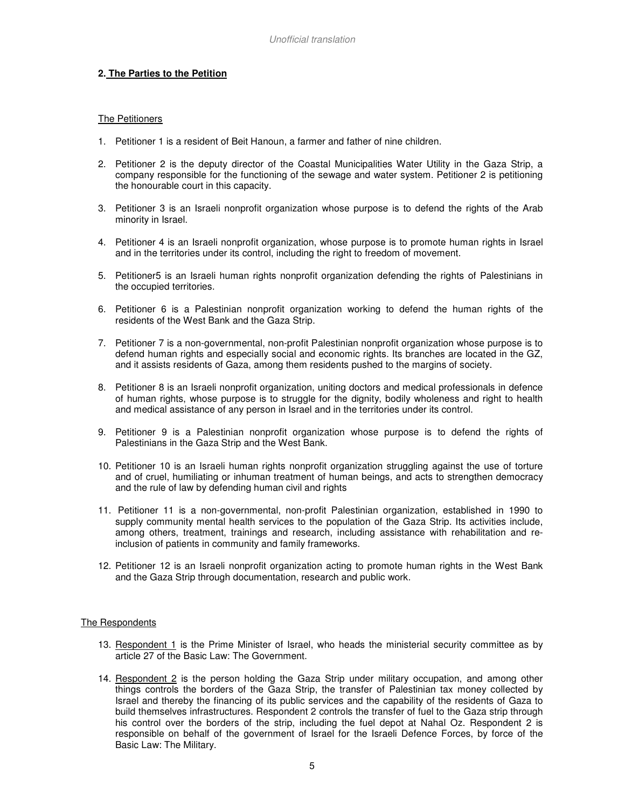# **2. The Parties to the Petition**

### The Petitioners

- 1. Petitioner 1 is a resident of Beit Hanoun, a farmer and father of nine children.
- 2. Petitioner 2 is the deputy director of the Coastal Municipalities Water Utility in the Gaza Strip, a company responsible for the functioning of the sewage and water system. Petitioner 2 is petitioning the honourable court in this capacity.
- 3. Petitioner 3 is an Israeli nonprofit organization whose purpose is to defend the rights of the Arab minority in Israel.
- 4. Petitioner 4 is an Israeli nonprofit organization, whose purpose is to promote human rights in Israel and in the territories under its control, including the right to freedom of movement.
- 5. Petitioner5 is an Israeli human rights nonprofit organization defending the rights of Palestinians in the occupied territories.
- 6. Petitioner 6 is a Palestinian nonprofit organization working to defend the human rights of the residents of the West Bank and the Gaza Strip.
- 7. Petitioner 7 is a non-governmental, non-profit Palestinian nonprofit organization whose purpose is to defend human rights and especially social and economic rights. Its branches are located in the GZ, and it assists residents of Gaza, among them residents pushed to the margins of society.
- 8. Petitioner 8 is an Israeli nonprofit organization, uniting doctors and medical professionals in defence of human rights, whose purpose is to struggle for the dignity, bodily wholeness and right to health and medical assistance of any person in Israel and in the territories under its control.
- 9. Petitioner 9 is a Palestinian nonprofit organization whose purpose is to defend the rights of Palestinians in the Gaza Strip and the West Bank.
- 10. Petitioner 10 is an Israeli human rights nonprofit organization struggling against the use of torture and of cruel, humiliating or inhuman treatment of human beings, and acts to strengthen democracy and the rule of law by defending human civil and rights
- 11. Petitioner 11 is a non-governmental, non-profit Palestinian organization, established in 1990 to supply community mental health services to the population of the Gaza Strip. Its activities include, among others, treatment, trainings and research, including assistance with rehabilitation and reinclusion of patients in community and family frameworks.
- 12. Petitioner 12 is an Israeli nonprofit organization acting to promote human rights in the West Bank and the Gaza Strip through documentation, research and public work.

#### The Respondents

- 13. Respondent 1 is the Prime Minister of Israel, who heads the ministerial security committee as by article 27 of the Basic Law: The Government.
- 14. Respondent 2 is the person holding the Gaza Strip under military occupation, and among other things controls the borders of the Gaza Strip, the transfer of Palestinian tax money collected by Israel and thereby the financing of its public services and the capability of the residents of Gaza to build themselves infrastructures. Respondent 2 controls the transfer of fuel to the Gaza strip through his control over the borders of the strip, including the fuel depot at Nahal Oz. Respondent 2 is responsible on behalf of the government of Israel for the Israeli Defence Forces, by force of the Basic Law: The Military.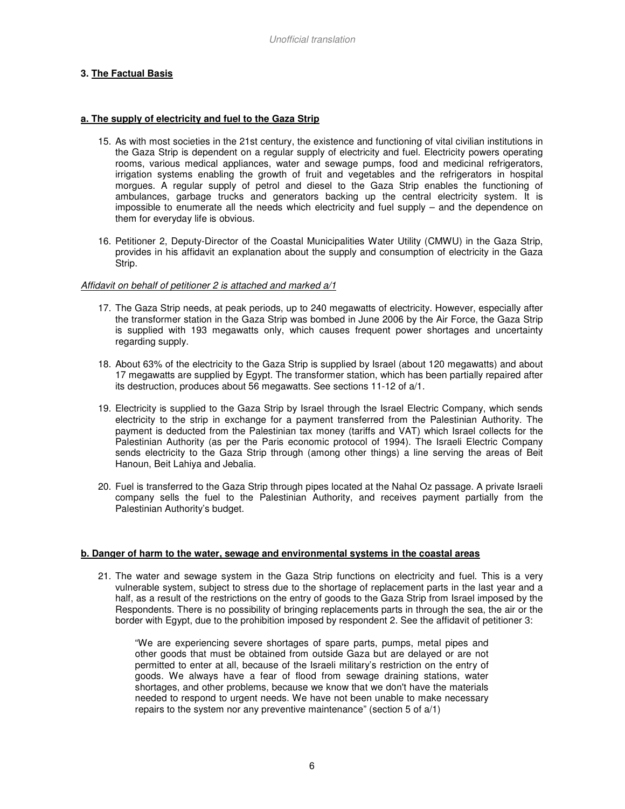# **3. The Factual Basis**

#### **a. The supply of electricity and fuel to the Gaza Strip**

- 15. As with most societies in the 21st century, the existence and functioning of vital civilian institutions in the Gaza Strip is dependent on a regular supply of electricity and fuel. Electricity powers operating rooms, various medical appliances, water and sewage pumps, food and medicinal refrigerators, irrigation systems enabling the growth of fruit and vegetables and the refrigerators in hospital morgues. A regular supply of petrol and diesel to the Gaza Strip enables the functioning of ambulances, garbage trucks and generators backing up the central electricity system. It is impossible to enumerate all the needs which electricity and fuel supply – and the dependence on them for everyday life is obvious.
- 16. Petitioner 2, Deputy-Director of the Coastal Municipalities Water Utility (CMWU) in the Gaza Strip, provides in his affidavit an explanation about the supply and consumption of electricity in the Gaza Strip.

#### Affidavit on behalf of petitioner 2 is attached and marked a/1

- 17. The Gaza Strip needs, at peak periods, up to 240 megawatts of electricity. However, especially after the transformer station in the Gaza Strip was bombed in June 2006 by the Air Force, the Gaza Strip is supplied with 193 megawatts only, which causes frequent power shortages and uncertainty regarding supply.
- 18. About 63% of the electricity to the Gaza Strip is supplied by Israel (about 120 megawatts) and about 17 megawatts are supplied by Egypt. The transformer station, which has been partially repaired after its destruction, produces about 56 megawatts. See sections 11-12 of a/1.
- 19. Electricity is supplied to the Gaza Strip by Israel through the Israel Electric Company, which sends electricity to the strip in exchange for a payment transferred from the Palestinian Authority. The payment is deducted from the Palestinian tax money (tariffs and VAT) which Israel collects for the Palestinian Authority (as per the Paris economic protocol of 1994). The Israeli Electric Company sends electricity to the Gaza Strip through (among other things) a line serving the areas of Beit Hanoun, Beit Lahiya and Jebalia.
- 20. Fuel is transferred to the Gaza Strip through pipes located at the Nahal Oz passage. A private Israeli company sells the fuel to the Palestinian Authority, and receives payment partially from the Palestinian Authority's budget.

#### **b. Danger of harm to the water, sewage and environmental systems in the coastal areas**

21. The water and sewage system in the Gaza Strip functions on electricity and fuel. This is a very vulnerable system, subject to stress due to the shortage of replacement parts in the last year and a half, as a result of the restrictions on the entry of goods to the Gaza Strip from Israel imposed by the Respondents. There is no possibility of bringing replacements parts in through the sea, the air or the border with Egypt, due to the prohibition imposed by respondent 2. See the affidavit of petitioner 3:

"We are experiencing severe shortages of spare parts, pumps, metal pipes and other goods that must be obtained from outside Gaza but are delayed or are not permitted to enter at all, because of the Israeli military's restriction on the entry of goods. We always have a fear of flood from sewage draining stations, water shortages, and other problems, because we know that we don't have the materials needed to respond to urgent needs. We have not been unable to make necessary repairs to the system nor any preventive maintenance" (section 5 of a/1)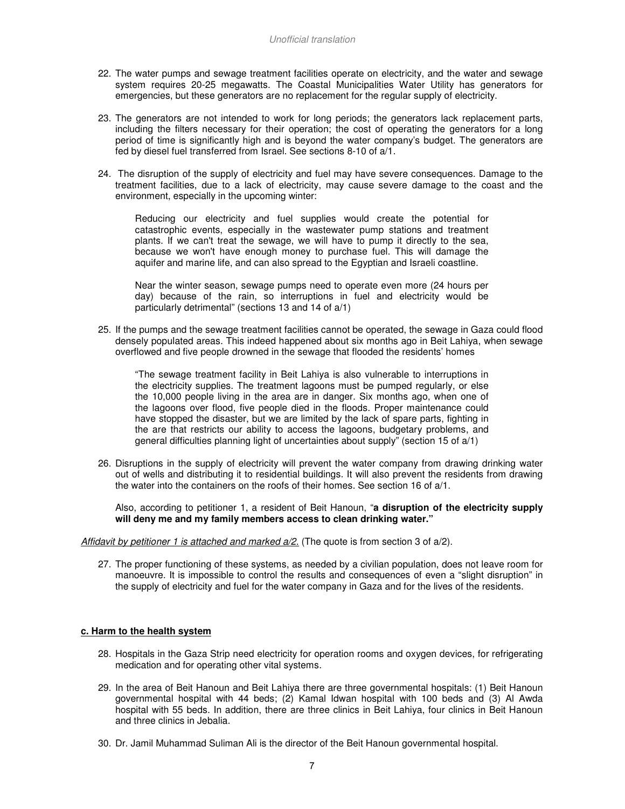- 22. The water pumps and sewage treatment facilities operate on electricity, and the water and sewage system requires 20-25 megawatts. The Coastal Municipalities Water Utility has generators for emergencies, but these generators are no replacement for the regular supply of electricity.
- 23. The generators are not intended to work for long periods; the generators lack replacement parts, including the filters necessary for their operation; the cost of operating the generators for a long period of time is significantly high and is beyond the water company's budget. The generators are fed by diesel fuel transferred from Israel. See sections 8-10 of a/1.
- 24. The disruption of the supply of electricity and fuel may have severe consequences. Damage to the treatment facilities, due to a lack of electricity, may cause severe damage to the coast and the environment, especially in the upcoming winter:

Reducing our electricity and fuel supplies would create the potential for catastrophic events, especially in the wastewater pump stations and treatment plants. If we can't treat the sewage, we will have to pump it directly to the sea, because we won't have enough money to purchase fuel. This will damage the aquifer and marine life, and can also spread to the Egyptian and Israeli coastline.

Near the winter season, sewage pumps need to operate even more (24 hours per day) because of the rain, so interruptions in fuel and electricity would be particularly detrimental" (sections 13 and 14 of a/1)

25. If the pumps and the sewage treatment facilities cannot be operated, the sewage in Gaza could flood densely populated areas. This indeed happened about six months ago in Beit Lahiya, when sewage overflowed and five people drowned in the sewage that flooded the residents' homes

"The sewage treatment facility in Beit Lahiya is also vulnerable to interruptions in the electricity supplies. The treatment lagoons must be pumped regularly, or else the 10,000 people living in the area are in danger. Six months ago, when one of the lagoons over flood, five people died in the floods. Proper maintenance could have stopped the disaster, but we are limited by the lack of spare parts, fighting in the are that restricts our ability to access the lagoons, budgetary problems, and general difficulties planning light of uncertainties about supply" (section 15 of a/1)

26. Disruptions in the supply of electricity will prevent the water company from drawing drinking water out of wells and distributing it to residential buildings. It will also prevent the residents from drawing the water into the containers on the roofs of their homes. See section 16 of a/1.

Also, according to petitioner 1, a resident of Beit Hanoun, "**a disruption of the electricity supply will deny me and my family members access to clean drinking water."** 

Affidavit by petitioner 1 is attached and marked  $a/2$ . (The quote is from section 3 of  $a/2$ ).

27. The proper functioning of these systems, as needed by a civilian population, does not leave room for manoeuvre. It is impossible to control the results and consequences of even a "slight disruption" in the supply of electricity and fuel for the water company in Gaza and for the lives of the residents.

#### **c. Harm to the health system**

- 28. Hospitals in the Gaza Strip need electricity for operation rooms and oxygen devices, for refrigerating medication and for operating other vital systems.
- 29. In the area of Beit Hanoun and Beit Lahiya there are three governmental hospitals: (1) Beit Hanoun governmental hospital with 44 beds; (2) Kamal Idwan hospital with 100 beds and (3) Al Awda hospital with 55 beds. In addition, there are three clinics in Beit Lahiya, four clinics in Beit Hanoun and three clinics in Jebalia.
- 30. Dr. Jamil Muhammad Suliman Ali is the director of the Beit Hanoun governmental hospital.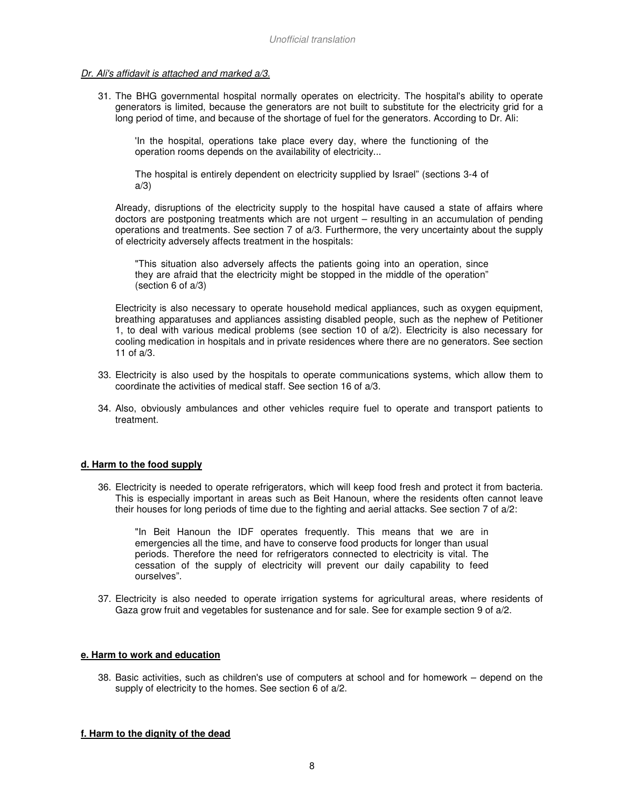#### Dr. Ali's affidavit is attached and marked a/3.

31. The BHG governmental hospital normally operates on electricity. The hospital's ability to operate generators is limited, because the generators are not built to substitute for the electricity grid for a long period of time, and because of the shortage of fuel for the generators. According to Dr. Ali:

'In the hospital, operations take place every day, where the functioning of the operation rooms depends on the availability of electricity...

The hospital is entirely dependent on electricity supplied by Israel" (sections 3-4 of a/3)

Already, disruptions of the electricity supply to the hospital have caused a state of affairs where doctors are postponing treatments which are not urgent – resulting in an accumulation of pending operations and treatments. See section 7 of a/3. Furthermore, the very uncertainty about the supply of electricity adversely affects treatment in the hospitals:

"This situation also adversely affects the patients going into an operation, since they are afraid that the electricity might be stopped in the middle of the operation" (section 6 of a/3)

Electricity is also necessary to operate household medical appliances, such as oxygen equipment, breathing apparatuses and appliances assisting disabled people, such as the nephew of Petitioner 1, to deal with various medical problems (see section 10 of a/2). Electricity is also necessary for cooling medication in hospitals and in private residences where there are no generators. See section 11 of a/3.

- 33. Electricity is also used by the hospitals to operate communications systems, which allow them to coordinate the activities of medical staff. See section 16 of a/3.
- 34. Also, obviously ambulances and other vehicles require fuel to operate and transport patients to treatment.

#### **d. Harm to the food supply**

36. Electricity is needed to operate refrigerators, which will keep food fresh and protect it from bacteria. This is especially important in areas such as Beit Hanoun, where the residents often cannot leave their houses for long periods of time due to the fighting and aerial attacks. See section 7 of a/2:

"In Beit Hanoun the IDF operates frequently. This means that we are in emergencies all the time, and have to conserve food products for longer than usual periods. Therefore the need for refrigerators connected to electricity is vital. The cessation of the supply of electricity will prevent our daily capability to feed ourselves".

37. Electricity is also needed to operate irrigation systems for agricultural areas, where residents of Gaza grow fruit and vegetables for sustenance and for sale. See for example section 9 of a/2.

#### **e. Harm to work and education**

38. Basic activities, such as children's use of computers at school and for homework – depend on the supply of electricity to the homes. See section 6 of a/2.

#### **f. Harm to the dignity of the dead**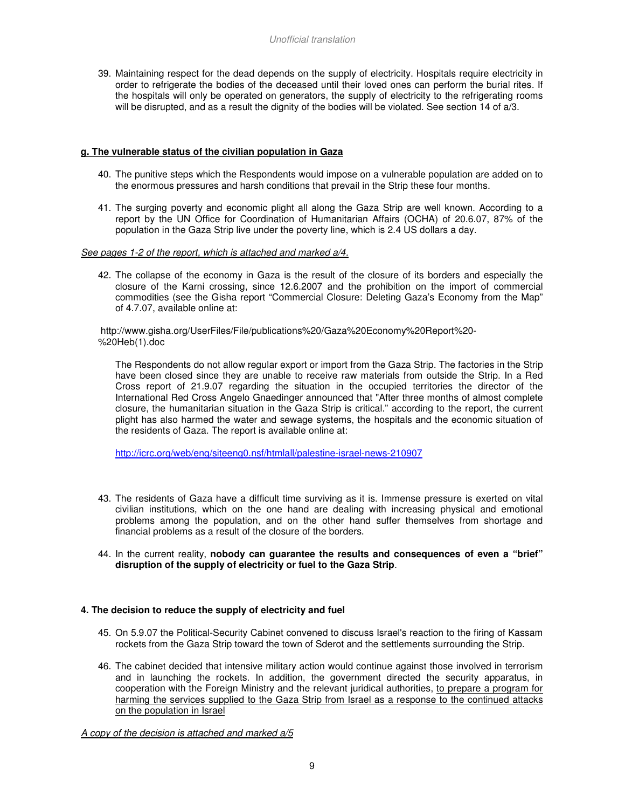39. Maintaining respect for the dead depends on the supply of electricity. Hospitals require electricity in order to refrigerate the bodies of the deceased until their loved ones can perform the burial rites. If the hospitals will only be operated on generators, the supply of electricity to the refrigerating rooms will be disrupted, and as a result the dignity of the bodies will be violated. See section 14 of a/3.

#### **g. The vulnerable status of the civilian population in Gaza**

- 40. The punitive steps which the Respondents would impose on a vulnerable population are added on to the enormous pressures and harsh conditions that prevail in the Strip these four months.
- 41. The surging poverty and economic plight all along the Gaza Strip are well known. According to a report by the UN Office for Coordination of Humanitarian Affairs (OCHA) of 20.6.07, 87% of the population in the Gaza Strip live under the poverty line, which is 2.4 US dollars a day.

#### See pages 1-2 of the report, which is attached and marked a/4.

42. The collapse of the economy in Gaza is the result of the closure of its borders and especially the closure of the Karni crossing, since 12.6.2007 and the prohibition on the import of commercial commodities (see the Gisha report "Commercial Closure: Deleting Gaza's Economy from the Map" of 4.7.07, available online at:

 http://www.gisha.org/UserFiles/File/publications%20/Gaza%20Economy%20Report%20- %20Heb(1).doc

The Respondents do not allow regular export or import from the Gaza Strip. The factories in the Strip have been closed since they are unable to receive raw materials from outside the Strip. In a Red Cross report of 21.9.07 regarding the situation in the occupied territories the director of the International Red Cross Angelo Gnaedinger announced that "After three months of almost complete closure, the humanitarian situation in the Gaza Strip is critical." according to the report, the current plight has also harmed the water and sewage systems, the hospitals and the economic situation of the residents of Gaza. The report is available online at:

http://icrc.org/web/eng/siteeng0.nsf/htmlall/palestine-israel-news-210907

- 43. The residents of Gaza have a difficult time surviving as it is. Immense pressure is exerted on vital civilian institutions, which on the one hand are dealing with increasing physical and emotional problems among the population, and on the other hand suffer themselves from shortage and financial problems as a result of the closure of the borders.
- 44. In the current reality, **nobody can guarantee the results and consequences of even a "brief" disruption of the supply of electricity or fuel to the Gaza Strip**.

#### **4. The decision to reduce the supply of electricity and fuel**

- 45. On 5.9.07 the Political-Security Cabinet convened to discuss Israel's reaction to the firing of Kassam rockets from the Gaza Strip toward the town of Sderot and the settlements surrounding the Strip.
- 46. The cabinet decided that intensive military action would continue against those involved in terrorism and in launching the rockets. In addition, the government directed the security apparatus, in cooperation with the Foreign Ministry and the relevant juridical authorities, to prepare a program for harming the services supplied to the Gaza Strip from Israel as a response to the continued attacks on the population in Israel

A copy of the decision is attached and marked a/5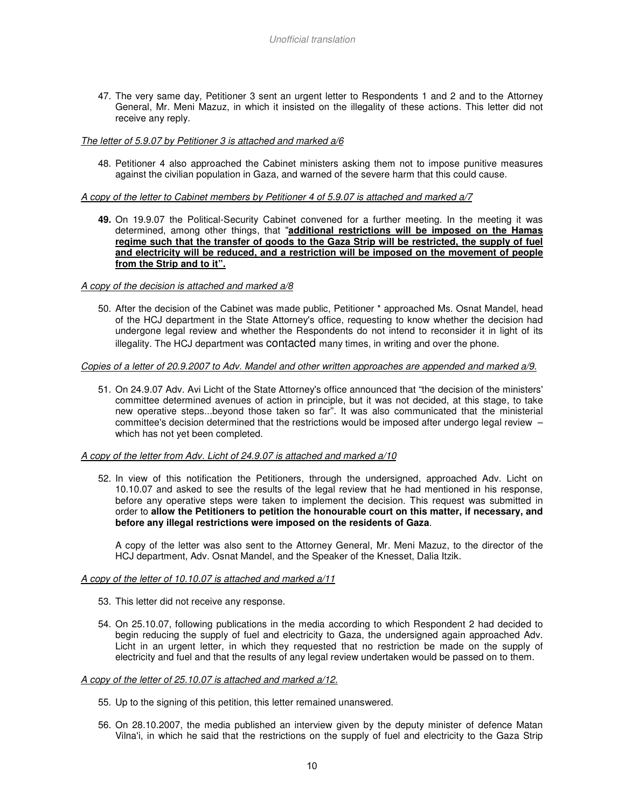47. The very same day, Petitioner 3 sent an urgent letter to Respondents 1 and 2 and to the Attorney General, Mr. Meni Mazuz, in which it insisted on the illegality of these actions. This letter did not receive any reply.

#### The letter of 5.9.07 by Petitioner 3 is attached and marked a/6

48. Petitioner 4 also approached the Cabinet ministers asking them not to impose punitive measures against the civilian population in Gaza, and warned of the severe harm that this could cause.

#### A copy of the letter to Cabinet members by Petitioner 4 of 5.9.07 is attached and marked a/7

**49.** On 19.9.07 the Political-Security Cabinet convened for a further meeting. In the meeting it was determined, among other things, that "**additional restrictions will be imposed on the Hamas regime such that the transfer of goods to the Gaza Strip will be restricted, the supply of fuel and electricity will be reduced, and a restriction will be imposed on the movement of people from the Strip and to it".**

#### A copy of the decision is attached and marked a/8

50. After the decision of the Cabinet was made public, Petitioner \* approached Ms. Osnat Mandel, head of the HCJ department in the State Attorney's office, requesting to know whether the decision had undergone legal review and whether the Respondents do not intend to reconsider it in light of its illegality. The HCJ department was contacted many times, in writing and over the phone.

#### Copies of a letter of 20.9.2007 to Adv. Mandel and other written approaches are appended and marked a/9.

51. On 24.9.07 Adv. Avi Licht of the State Attorney's office announced that "the decision of the ministers' committee determined avenues of action in principle, but it was not decided, at this stage, to take new operative steps...beyond those taken so far". It was also communicated that the ministerial committee's decision determined that the restrictions would be imposed after undergo legal review – which has not yet been completed.

#### A copy of the letter from Adv. Licht of 24.9.07 is attached and marked a/10

52. In view of this notification the Petitioners, through the undersigned, approached Adv. Licht on 10.10.07 and asked to see the results of the legal review that he had mentioned in his response, before any operative steps were taken to implement the decision. This request was submitted in order to **allow the Petitioners to petition the honourable court on this matter, if necessary, and before any illegal restrictions were imposed on the residents of Gaza**.

A copy of the letter was also sent to the Attorney General, Mr. Meni Mazuz, to the director of the HCJ department, Adv. Osnat Mandel, and the Speaker of the Knesset, Dalia Itzik.

#### A copy of the letter of 10.10.07 is attached and marked a/11

- 53. This letter did not receive any response.
- 54. On 25.10.07, following publications in the media according to which Respondent 2 had decided to begin reducing the supply of fuel and electricity to Gaza, the undersigned again approached Adv. Licht in an urgent letter, in which they requested that no restriction be made on the supply of electricity and fuel and that the results of any legal review undertaken would be passed on to them.

#### A copy of the letter of 25.10.07 is attached and marked a/12.

- 55. Up to the signing of this petition, this letter remained unanswered.
- 56. On 28.10.2007, the media published an interview given by the deputy minister of defence Matan Vilna'i, in which he said that the restrictions on the supply of fuel and electricity to the Gaza Strip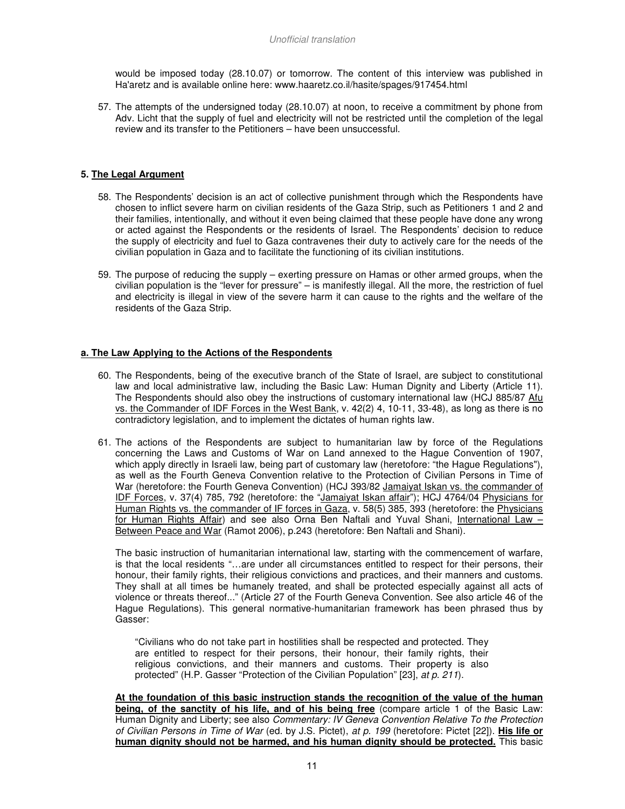would be imposed today (28.10.07) or tomorrow. The content of this interview was published in Ha'aretz and is available online here: www.haaretz.co.il/hasite/spages/917454.html

57. The attempts of the undersigned today (28.10.07) at noon, to receive a commitment by phone from Adv. Licht that the supply of fuel and electricity will not be restricted until the completion of the legal review and its transfer to the Petitioners – have been unsuccessful.

# **5. The Legal Argument**

- 58. The Respondents' decision is an act of collective punishment through which the Respondents have chosen to inflict severe harm on civilian residents of the Gaza Strip, such as Petitioners 1 and 2 and their families, intentionally, and without it even being claimed that these people have done any wrong or acted against the Respondents or the residents of Israel. The Respondents' decision to reduce the supply of electricity and fuel to Gaza contravenes their duty to actively care for the needs of the civilian population in Gaza and to facilitate the functioning of its civilian institutions.
- 59. The purpose of reducing the supply exerting pressure on Hamas or other armed groups, when the civilian population is the "lever for pressure" – is manifestly illegal. All the more, the restriction of fuel and electricity is illegal in view of the severe harm it can cause to the rights and the welfare of the residents of the Gaza Strip.

## **a. The Law Applying to the Actions of the Respondents**

- 60. The Respondents, being of the executive branch of the State of Israel, are subject to constitutional law and local administrative law, including the Basic Law: Human Dignity and Liberty (Article 11). The Respondents should also obey the instructions of customary international law (HCJ 885/87 Afu vs. the Commander of IDF Forces in the West Bank, v. 42(2) 4, 10-11, 33-48), as long as there is no contradictory legislation, and to implement the dictates of human rights law.
- 61. The actions of the Respondents are subject to humanitarian law by force of the Regulations concerning the Laws and Customs of War on Land annexed to the Hague Convention of 1907, which apply directly in Israeli law, being part of customary law (heretofore: "the Hague Regulations"), as well as the Fourth Geneva Convention relative to the Protection of Civilian Persons in Time of War (heretofore: the Fourth Geneva Convention) (HCJ 393/82 Jamaiyat Iskan vs. the commander of IDF Forces, v. 37(4) 785, 792 (heretofore: the "Jamaiyat Iskan affair"); HCJ 4764/04 Physicians for Human Rights vs. the commander of IF forces in Gaza, v. 58(5) 385, 393 (heretofore: the Physicians for Human Rights Affair) and see also Orna Ben Naftali and Yuval Shani, International Law – Between Peace and War (Ramot 2006), p.243 (heretofore: Ben Naftali and Shani).

The basic instruction of humanitarian international law, starting with the commencement of warfare, is that the local residents "…are under all circumstances entitled to respect for their persons, their honour, their family rights, their religious convictions and practices, and their manners and customs. They shall at all times be humanely treated, and shall be protected especially against all acts of violence or threats thereof..." (Article 27 of the Fourth Geneva Convention. See also article 46 of the Hague Regulations). This general normative-humanitarian framework has been phrased thus by Gasser:

"Civilians who do not take part in hostilities shall be respected and protected. They are entitled to respect for their persons, their honour, their family rights, their religious convictions, and their manners and customs. Their property is also protected" (H.P. Gasser "Protection of the Civilian Population" [23], at p. 211).

**At the foundation of this basic instruction stands the recognition of the value of the human being, of the sanctity of his life, and of his being free** (compare article 1 of the Basic Law: Human Dignity and Liberty; see also Commentary: IV Geneva Convention Relative To the Protection of Civilian Persons in Time of War (ed. by J.S. Pictet), at p. 199 (heretofore: Pictet [22]). **His life or human dignity should not be harmed, and his human dignity should be protected.** This basic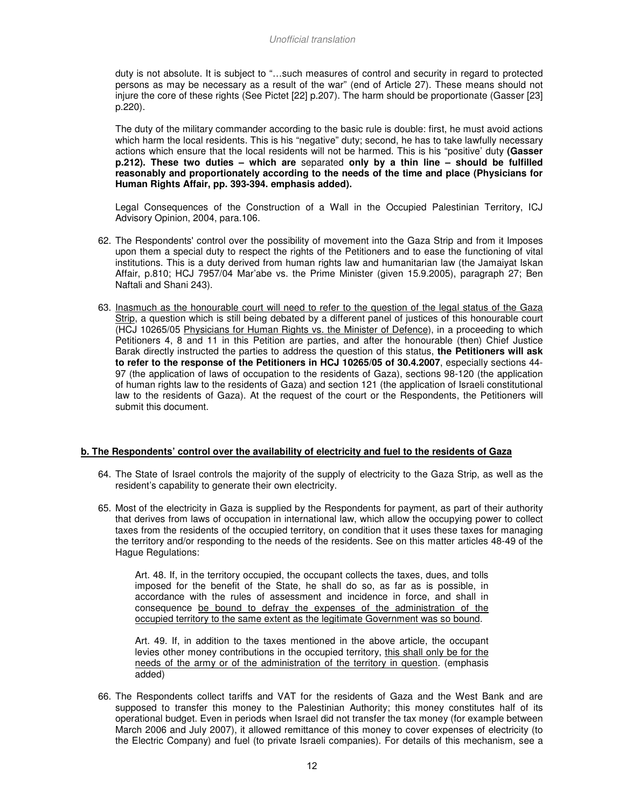duty is not absolute. It is subject to "…such measures of control and security in regard to protected persons as may be necessary as a result of the war" (end of Article 27). These means should not injure the core of these rights (See Pictet [22] p.207). The harm should be proportionate (Gasser [23] p.220).

The duty of the military commander according to the basic rule is double: first, he must avoid actions which harm the local residents. This is his "negative" duty; second, he has to take lawfully necessary actions which ensure that the local residents will not be harmed. This is his "positive' duty **(Gasser p.212). These two duties – which are** separated **only by a thin line – should be fulfilled reasonably and proportionately according to the needs of the time and place (Physicians for Human Rights Affair, pp. 393-394. emphasis added).** 

Legal Consequences of the Construction of a Wall in the Occupied Palestinian Territory, ICJ Advisory Opinion, 2004, para.106.

- 62. The Respondents' control over the possibility of movement into the Gaza Strip and from it Imposes upon them a special duty to respect the rights of the Petitioners and to ease the functioning of vital institutions. This is a duty derived from human rights law and humanitarian law (the Jamaiyat Iskan Affair, p.810; HCJ 7957/04 Mar'abe vs. the Prime Minister (given 15.9.2005), paragraph 27; Ben Naftali and Shani 243).
- 63. Inasmuch as the honourable court will need to refer to the question of the legal status of the Gaza Strip, a question which is still being debated by a different panel of justices of this honourable court (HCJ 10265/05 Physicians for Human Rights vs. the Minister of Defence), in a proceeding to which Petitioners 4, 8 and 11 in this Petition are parties, and after the honourable (then) Chief Justice Barak directly instructed the parties to address the question of this status, **the Petitioners will ask to refer to the response of the Petitioners in HCJ 10265/05 of 30.4.2007**, especially sections 44- 97 (the application of laws of occupation to the residents of Gaza), sections 98-120 (the application of human rights law to the residents of Gaza) and section 121 (the application of Israeli constitutional law to the residents of Gaza). At the request of the court or the Respondents, the Petitioners will submit this document.

#### **b. The Respondents' control over the availability of electricity and fuel to the residents of Gaza**

- 64. The State of Israel controls the majority of the supply of electricity to the Gaza Strip, as well as the resident's capability to generate their own electricity.
- 65. Most of the electricity in Gaza is supplied by the Respondents for payment, as part of their authority that derives from laws of occupation in international law, which allow the occupying power to collect taxes from the residents of the occupied territory, on condition that it uses these taxes for managing the territory and/or responding to the needs of the residents. See on this matter articles 48-49 of the Hague Regulations:

Art. 48. If, in the territory occupied, the occupant collects the taxes, dues, and tolls imposed for the benefit of the State, he shall do so, as far as is possible, in accordance with the rules of assessment and incidence in force, and shall in consequence be bound to defray the expenses of the administration of the occupied territory to the same extent as the legitimate Government was so bound.

Art. 49. If, in addition to the taxes mentioned in the above article, the occupant levies other money contributions in the occupied territory, this shall only be for the needs of the army or of the administration of the territory in question. (emphasis added)

66. The Respondents collect tariffs and VAT for the residents of Gaza and the West Bank and are supposed to transfer this money to the Palestinian Authority; this money constitutes half of its operational budget. Even in periods when Israel did not transfer the tax money (for example between March 2006 and July 2007), it allowed remittance of this money to cover expenses of electricity (to the Electric Company) and fuel (to private Israeli companies). For details of this mechanism, see a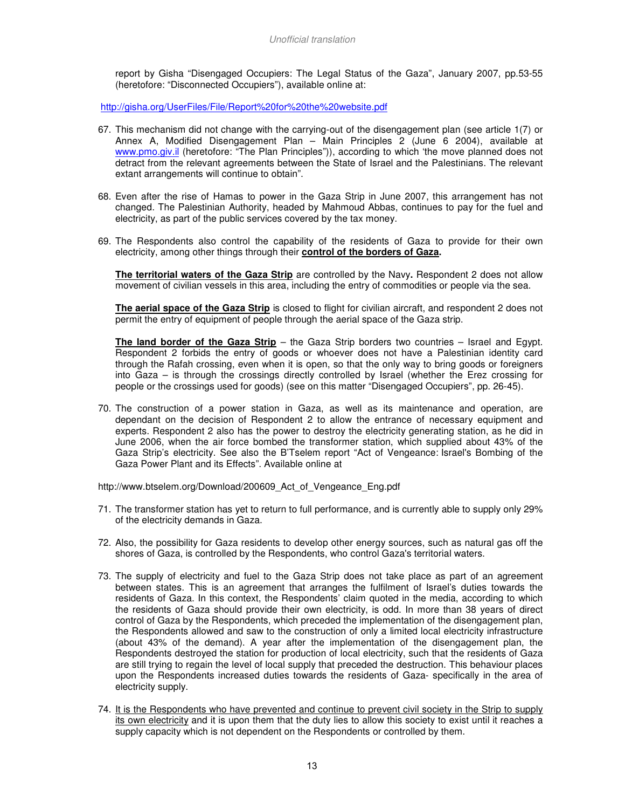report by Gisha "Disengaged Occupiers: The Legal Status of the Gaza", January 2007, pp.53-55 (heretofore: "Disconnected Occupiers"), available online at:

http://gisha.org/UserFiles/File/Report%20for%20the%20website.pdf

- 67. This mechanism did not change with the carrying-out of the disengagement plan (see article 1(7) or Annex A, Modified Disengagement Plan – Main Principles 2 (June 6 2004), available at www.pmo.giv.il (heretofore: "The Plan Principles")), according to which 'the move planned does not detract from the relevant agreements between the State of Israel and the Palestinians. The relevant extant arrangements will continue to obtain".
- 68. Even after the rise of Hamas to power in the Gaza Strip in June 2007, this arrangement has not changed. The Palestinian Authority, headed by Mahmoud Abbas, continues to pay for the fuel and electricity, as part of the public services covered by the tax money.
- 69. The Respondents also control the capability of the residents of Gaza to provide for their own electricity, among other things through their **control of the borders of Gaza.**

**The territorial waters of the Gaza Strip** are controlled by the Navy**.** Respondent 2 does not allow movement of civilian vessels in this area, including the entry of commodities or people via the sea.

**The aerial space of the Gaza Strip** is closed to flight for civilian aircraft, and respondent 2 does not permit the entry of equipment of people through the aerial space of the Gaza strip.

**The land border of the Gaza Strip** – the Gaza Strip borders two countries – Israel and Egypt. Respondent 2 forbids the entry of goods or whoever does not have a Palestinian identity card through the Rafah crossing, even when it is open, so that the only way to bring goods or foreigners into Gaza – is through the crossings directly controlled by Israel (whether the Erez crossing for people or the crossings used for goods) (see on this matter "Disengaged Occupiers", pp. 26-45).

70. The construction of a power station in Gaza, as well as its maintenance and operation, are dependant on the decision of Respondent 2 to allow the entrance of necessary equipment and experts. Respondent 2 also has the power to destroy the electricity generating station, as he did in June 2006, when the air force bombed the transformer station, which supplied about 43% of the Gaza Strip's electricity. See also the B'Tselem report "Act of Vengeance: Israel's Bombing of the Gaza Power Plant and its Effects". Available online at

http://www.btselem.org/Download/200609 Act\_of\_Vengeance\_Eng.pdf

- 71. The transformer station has yet to return to full performance, and is currently able to supply only 29% of the electricity demands in Gaza.
- 72. Also, the possibility for Gaza residents to develop other energy sources, such as natural gas off the shores of Gaza, is controlled by the Respondents, who control Gaza's territorial waters.
- 73. The supply of electricity and fuel to the Gaza Strip does not take place as part of an agreement between states. This is an agreement that arranges the fulfilment of Israel's duties towards the residents of Gaza. In this context, the Respondents' claim quoted in the media, according to which the residents of Gaza should provide their own electricity, is odd. In more than 38 years of direct control of Gaza by the Respondents, which preceded the implementation of the disengagement plan, the Respondents allowed and saw to the construction of only a limited local electricity infrastructure (about 43% of the demand). A year after the implementation of the disengagement plan, the Respondents destroyed the station for production of local electricity, such that the residents of Gaza are still trying to regain the level of local supply that preceded the destruction. This behaviour places upon the Respondents increased duties towards the residents of Gaza- specifically in the area of electricity supply.
- 74. It is the Respondents who have prevented and continue to prevent civil society in the Strip to supply its own electricity and it is upon them that the duty lies to allow this society to exist until it reaches a supply capacity which is not dependent on the Respondents or controlled by them.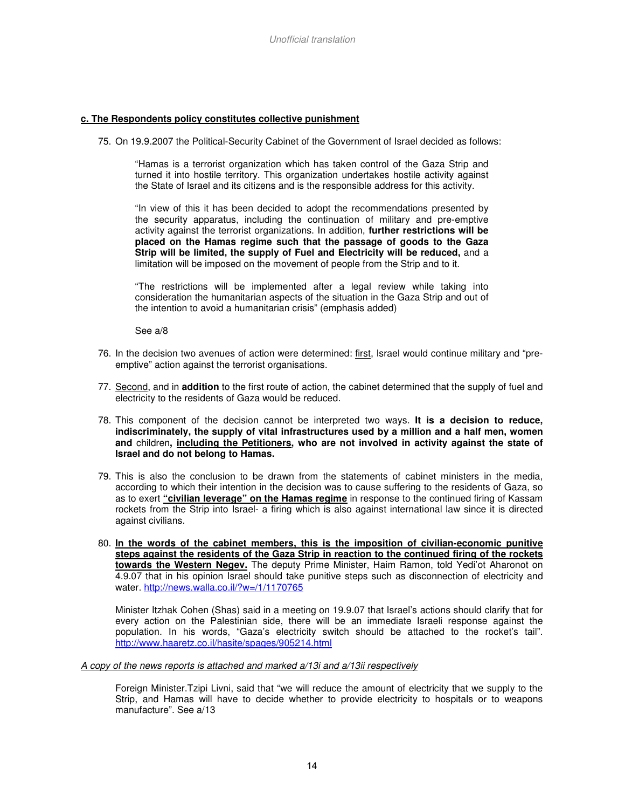#### **c. The Respondents policy constitutes collective punishment**

75. On 19.9.2007 the Political-Security Cabinet of the Government of Israel decided as follows:

"Hamas is a terrorist organization which has taken control of the Gaza Strip and turned it into hostile territory. This organization undertakes hostile activity against the State of Israel and its citizens and is the responsible address for this activity.

"In view of this it has been decided to adopt the recommendations presented by the security apparatus, including the continuation of military and pre-emptive activity against the terrorist organizations. In addition, **further restrictions will be placed on the Hamas regime such that the passage of goods to the Gaza Strip will be limited, the supply of Fuel and Electricity will be reduced,** and a limitation will be imposed on the movement of people from the Strip and to it.

"The restrictions will be implemented after a legal review while taking into consideration the humanitarian aspects of the situation in the Gaza Strip and out of the intention to avoid a humanitarian crisis" (emphasis added)

See a/8

- 76. In the decision two avenues of action were determined: first, Israel would continue military and "preemptive" action against the terrorist organisations.
- 77. Second, and in **addition** to the first route of action, the cabinet determined that the supply of fuel and electricity to the residents of Gaza would be reduced.
- 78. This component of the decision cannot be interpreted two ways. **It is a decision to reduce, indiscriminately, the supply of vital infrastructures used by a million and a half men, women and** children**, including the Petitioners, who are not involved in activity against the state of Israel and do not belong to Hamas.**
- 79. This is also the conclusion to be drawn from the statements of cabinet ministers in the media, according to which their intention in the decision was to cause suffering to the residents of Gaza, so as to exert **"civilian leverage" on the Hamas regime** in response to the continued firing of Kassam rockets from the Strip into Israel- a firing which is also against international law since it is directed against civilians.
- 80. **In the words of the cabinet members, this is the imposition of civilian-economic punitive steps against the residents of the Gaza Strip in reaction to the continued firing of the rockets towards the Western Negev.** The deputy Prime Minister, Haim Ramon, told Yedi'ot Aharonot on 4.9.07 that in his opinion Israel should take punitive steps such as disconnection of electricity and water. http://news.walla.co.il/?w=/1/1170765

Minister Itzhak Cohen (Shas) said in a meeting on 19.9.07 that Israel's actions should clarify that for every action on the Palestinian side, there will be an immediate Israeli response against the population. In his words, "Gaza's electricity switch should be attached to the rocket's tail". http://www.haaretz.co.il/hasite/spages/905214.html

#### A copy of the news reports is attached and marked a/13i and a/13ii respectively

Foreign Minister.Tzipi Livni, said that "we will reduce the amount of electricity that we supply to the Strip, and Hamas will have to decide whether to provide electricity to hospitals or to weapons manufacture". See a/13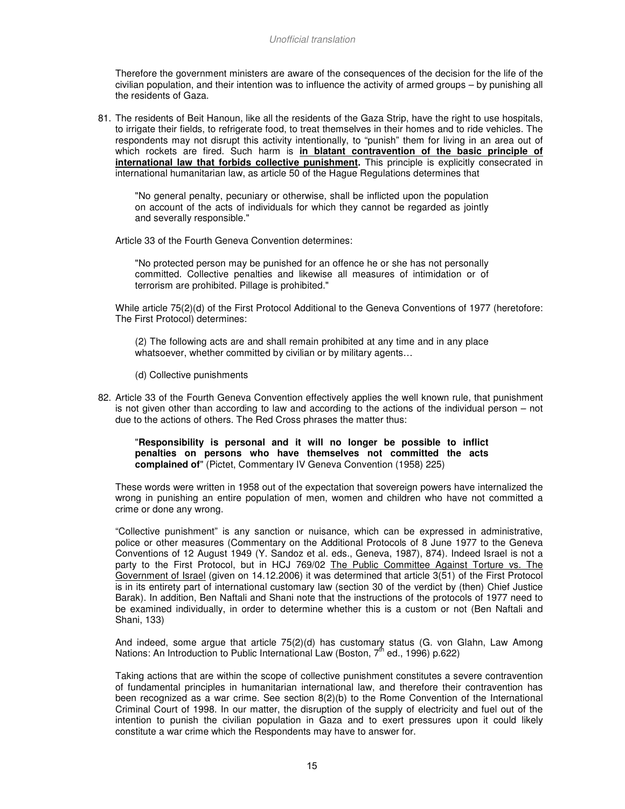Therefore the government ministers are aware of the consequences of the decision for the life of the civilian population, and their intention was to influence the activity of armed groups – by punishing all the residents of Gaza.

81. The residents of Beit Hanoun, like all the residents of the Gaza Strip, have the right to use hospitals, to irrigate their fields, to refrigerate food, to treat themselves in their homes and to ride vehicles. The respondents may not disrupt this activity intentionally, to "punish" them for living in an area out of which rockets are fired. Such harm is **in blatant contravention of the basic principle of international law that forbids collective punishment.** This principle is explicitly consecrated in international humanitarian law, as article 50 of the Hague Regulations determines that

"No general penalty, pecuniary or otherwise, shall be inflicted upon the population on account of the acts of individuals for which they cannot be regarded as jointly and severally responsible."

Article 33 of the Fourth Geneva Convention determines:

"No protected person may be punished for an offence he or she has not personally committed. Collective penalties and likewise all measures of intimidation or of terrorism are prohibited. Pillage is prohibited."

While article 75(2)(d) of the First Protocol Additional to the Geneva Conventions of 1977 (heretofore: The First Protocol) determines:

(2) The following acts are and shall remain prohibited at any time and in any place whatsoever, whether committed by civilian or by military agents…

(d) Collective punishments

82. Article 33 of the Fourth Geneva Convention effectively applies the well known rule, that punishment is not given other than according to law and according to the actions of the individual person – not due to the actions of others. The Red Cross phrases the matter thus:

#### "**Responsibility is personal and it will no longer be possible to inflict penalties on persons who have themselves not committed the acts complained of**" (Pictet, Commentary IV Geneva Convention (1958) 225)

These words were written in 1958 out of the expectation that sovereign powers have internalized the wrong in punishing an entire population of men, women and children who have not committed a crime or done any wrong.

"Collective punishment" is any sanction or nuisance, which can be expressed in administrative, police or other measures (Commentary on the Additional Protocols of 8 June 1977 to the Geneva Conventions of 12 August 1949 (Y. Sandoz et al. eds., Geneva, 1987), 874). Indeed Israel is not a party to the First Protocol, but in HCJ 769/02 The Public Committee Against Torture vs. The Government of Israel (given on 14.12.2006) it was determined that article 3(51) of the First Protocol is in its entirety part of international customary law (section 30 of the verdict by (then) Chief Justice Barak). In addition, Ben Naftali and Shani note that the instructions of the protocols of 1977 need to be examined individually, in order to determine whether this is a custom or not (Ben Naftali and Shani, 133)

And indeed, some argue that article 75(2)(d) has customary status (G. von Glahn, Law Among Nations: An Introduction to Public International Law (Boston, 7<sup>th</sup> ed., 1996) p.622)

Taking actions that are within the scope of collective punishment constitutes a severe contravention of fundamental principles in humanitarian international law, and therefore their contravention has been recognized as a war crime. See section 8(2)(b) to the Rome Convention of the International Criminal Court of 1998. In our matter, the disruption of the supply of electricity and fuel out of the intention to punish the civilian population in Gaza and to exert pressures upon it could likely constitute a war crime which the Respondents may have to answer for.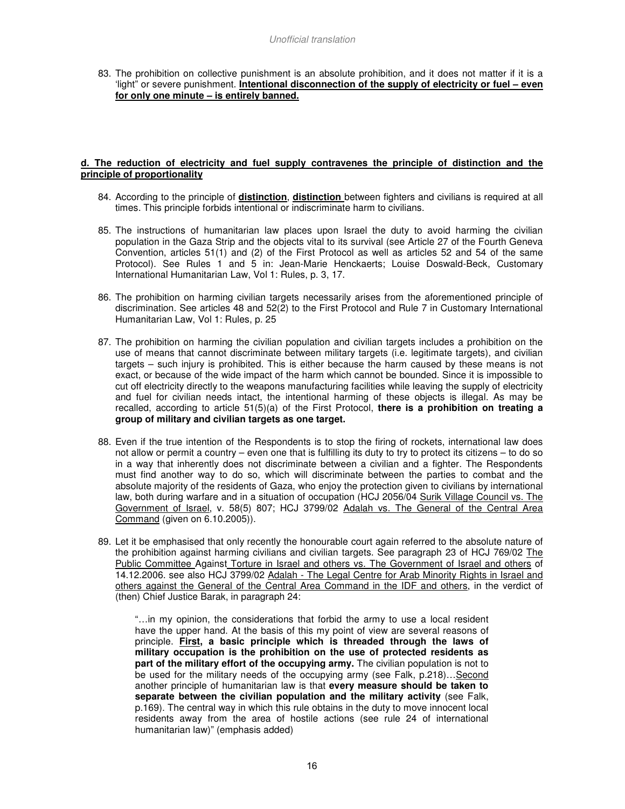83. The prohibition on collective punishment is an absolute prohibition, and it does not matter if it is a 'light" or severe punishment. **Intentional disconnection of the supply of electricity or fuel – even for only one minute – is entirely banned.**

## **d. The reduction of electricity and fuel supply contravenes the principle of distinction and the principle of proportionality**

- 84. According to the principle of **distinction**, **distinction** between fighters and civilians is required at all times. This principle forbids intentional or indiscriminate harm to civilians.
- 85. The instructions of humanitarian law places upon Israel the duty to avoid harming the civilian population in the Gaza Strip and the objects vital to its survival (see Article 27 of the Fourth Geneva Convention, articles 51(1) and (2) of the First Protocol as well as articles 52 and 54 of the same Protocol). See Rules 1 and 5 in: Jean-Marie Henckaerts; Louise Doswald-Beck, Customary International Humanitarian Law, Vol 1: Rules, p. 3, 17.
- 86. The prohibition on harming civilian targets necessarily arises from the aforementioned principle of discrimination. See articles 48 and 52(2) to the First Protocol and Rule 7 in Customary International Humanitarian Law, Vol 1: Rules, p. 25
- 87. The prohibition on harming the civilian population and civilian targets includes a prohibition on the use of means that cannot discriminate between military targets (i.e. legitimate targets), and civilian targets – such injury is prohibited. This is either because the harm caused by these means is not exact, or because of the wide impact of the harm which cannot be bounded. Since it is impossible to cut off electricity directly to the weapons manufacturing facilities while leaving the supply of electricity and fuel for civilian needs intact, the intentional harming of these objects is illegal. As may be recalled, according to article 51(5)(a) of the First Protocol, **there is a prohibition on treating a group of military and civilian targets as one target.**
- 88. Even if the true intention of the Respondents is to stop the firing of rockets, international law does not allow or permit a country – even one that is fulfilling its duty to try to protect its citizens – to do so in a way that inherently does not discriminate between a civilian and a fighter. The Respondents must find another way to do so, which will discriminate between the parties to combat and the absolute majority of the residents of Gaza, who enjoy the protection given to civilians by international law, both during warfare and in a situation of occupation (HCJ 2056/04 Surik Village Council vs. The Government of Israel, v. 58(5) 807; HCJ 3799/02 Adalah vs. The General of the Central Area Command (given on 6.10.2005)).
- 89. Let it be emphasised that only recently the honourable court again referred to the absolute nature of the prohibition against harming civilians and civilian targets. See paragraph 23 of HCJ 769/02 The Public Committee Against Torture in Israel and others vs. The Government of Israel and others of 14.12.2006. see also HCJ 3799/02 Adalah - The Legal Centre for Arab Minority Rights in Israel and others against the General of the Central Area Command in the IDF and others, in the verdict of (then) Chief Justice Barak, in paragraph 24:

"…in my opinion, the considerations that forbid the army to use a local resident have the upper hand. At the basis of this my point of view are several reasons of principle. **First, a basic principle which is threaded through the laws of military occupation is the prohibition on the use of protected residents as part of the military effort of the occupying army.** The civilian population is not to be used for the military needs of the occupying army (see Falk, p.218)...Second another principle of humanitarian law is that **every measure should be taken to separate between the civilian population and the military activity** (see Falk, p.169). The central way in which this rule obtains in the duty to move innocent local residents away from the area of hostile actions (see rule 24 of international humanitarian law)" (emphasis added)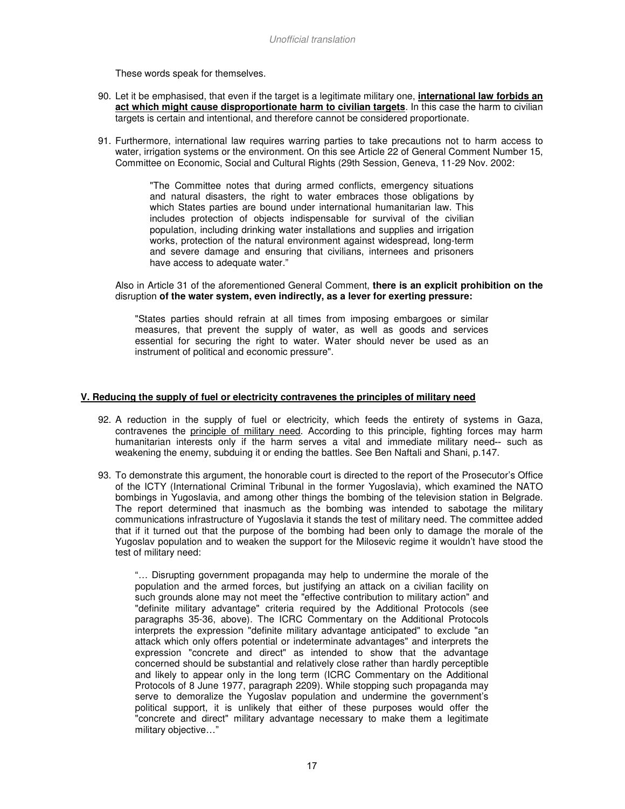These words speak for themselves.

- 90. Let it be emphasised, that even if the target is a legitimate military one, **international law forbids an act which might cause disproportionate harm to civilian targets**. In this case the harm to civilian targets is certain and intentional, and therefore cannot be considered proportionate.
- 91. Furthermore, international law requires warring parties to take precautions not to harm access to water, irrigation systems or the environment. On this see Article 22 of General Comment Number 15, Committee on Economic, Social and Cultural Rights (29th Session, Geneva, 11-29 Nov. 2002:

"The Committee notes that during armed conflicts, emergency situations and natural disasters, the right to water embraces those obligations by which States parties are bound under international humanitarian law. This includes protection of objects indispensable for survival of the civilian population, including drinking water installations and supplies and irrigation works, protection of the natural environment against widespread, long-term and severe damage and ensuring that civilians, internees and prisoners have access to adequate water."

#### Also in Article 31 of the aforementioned General Comment, **there is an explicit prohibition on the**  disruption **of the water system, even indirectly, as a lever for exerting pressure:**

"States parties should refrain at all times from imposing embargoes or similar measures, that prevent the supply of water, as well as goods and services essential for securing the right to water. Water should never be used as an instrument of political and economic pressure".

#### **V. Reducing the supply of fuel or electricity contravenes the principles of military need**

- 92. A reduction in the supply of fuel or electricity, which feeds the entirety of systems in Gaza, contravenes the principle of military need. According to this principle, fighting forces may harm humanitarian interests only if the harm serves a vital and immediate military need-- such as weakening the enemy, subduing it or ending the battles. See Ben Naftali and Shani, p.147.
- 93. To demonstrate this argument, the honorable court is directed to the report of the Prosecutor's Office of the ICTY (International Criminal Tribunal in the former Yugoslavia), which examined the NATO bombings in Yugoslavia, and among other things the bombing of the television station in Belgrade. The report determined that inasmuch as the bombing was intended to sabotage the military communications infrastructure of Yugoslavia it stands the test of military need. The committee added that if it turned out that the purpose of the bombing had been only to damage the morale of the Yugoslav population and to weaken the support for the Milosevic regime it wouldn't have stood the test of military need:

"… Disrupting government propaganda may help to undermine the morale of the population and the armed forces, but justifying an attack on a civilian facility on such grounds alone may not meet the "effective contribution to military action" and "definite military advantage" criteria required by the Additional Protocols (see paragraphs 35-36, above). The ICRC Commentary on the Additional Protocols interprets the expression "definite military advantage anticipated" to exclude "an attack which only offers potential or indeterminate advantages" and interprets the expression "concrete and direct" as intended to show that the advantage concerned should be substantial and relatively close rather than hardly perceptible and likely to appear only in the long term (ICRC Commentary on the Additional Protocols of 8 June 1977, paragraph 2209). While stopping such propaganda may serve to demoralize the Yugoslav population and undermine the government's political support, it is unlikely that either of these purposes would offer the "concrete and direct" military advantage necessary to make them a legitimate military objective…"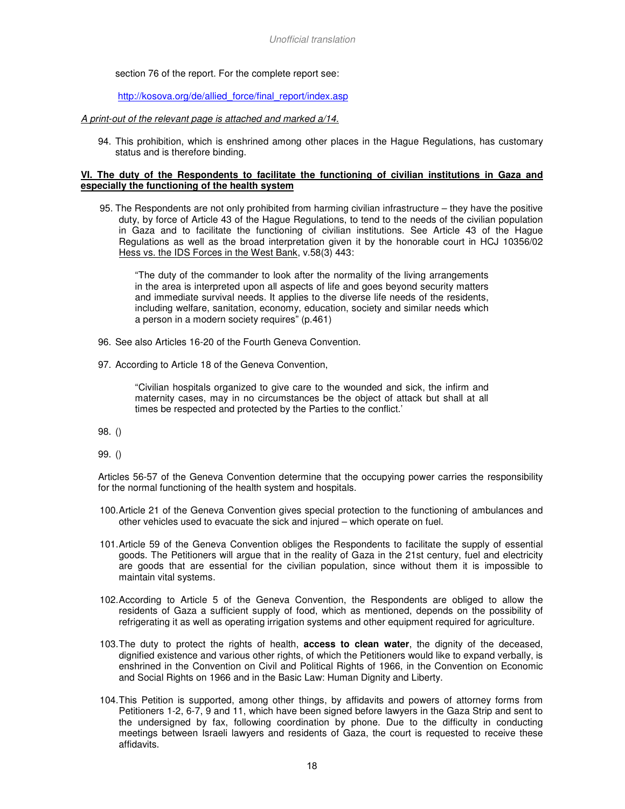section 76 of the report. For the complete report see:

http://kosova.org/de/allied\_force/final\_report/index.asp

#### A print-out of the relevant page is attached and marked a/14.

94. This prohibition, which is enshrined among other places in the Hague Regulations, has customary status and is therefore binding.

#### **VI. The duty of the Respondents to facilitate the functioning of civilian institutions in Gaza and especially the functioning of the health system**

95. The Respondents are not only prohibited from harming civilian infrastructure – they have the positive duty, by force of Article 43 of the Hague Regulations, to tend to the needs of the civilian population in Gaza and to facilitate the functioning of civilian institutions. See Article 43 of the Hague Regulations as well as the broad interpretation given it by the honorable court in HCJ 10356/02 Hess vs. the IDS Forces in the West Bank, v.58(3) 443:

"The duty of the commander to look after the normality of the living arrangements in the area is interpreted upon all aspects of life and goes beyond security matters and immediate survival needs. It applies to the diverse life needs of the residents, including welfare, sanitation, economy, education, society and similar needs which a person in a modern society requires" (p.461)

- 96. See also Articles 16-20 of the Fourth Geneva Convention.
- 97. According to Article 18 of the Geneva Convention,

"Civilian hospitals organized to give care to the wounded and sick, the infirm and maternity cases, may in no circumstances be the object of attack but shall at all times be respected and protected by the Parties to the conflict.'

98. ()

99. ()

Articles 56-57 of the Geneva Convention determine that the occupying power carries the responsibility for the normal functioning of the health system and hospitals.

- 100. Article 21 of the Geneva Convention gives special protection to the functioning of ambulances and other vehicles used to evacuate the sick and injured – which operate on fuel.
- 101. Article 59 of the Geneva Convention obliges the Respondents to facilitate the supply of essential goods. The Petitioners will argue that in the reality of Gaza in the 21st century, fuel and electricity are goods that are essential for the civilian population, since without them it is impossible to maintain vital systems.
- 102. According to Article 5 of the Geneva Convention, the Respondents are obliged to allow the residents of Gaza a sufficient supply of food, which as mentioned, depends on the possibility of refrigerating it as well as operating irrigation systems and other equipment required for agriculture.
- 103. The duty to protect the rights of health, **access to clean water**, the dignity of the deceased, dignified existence and various other rights, of which the Petitioners would like to expand verbally, is enshrined in the Convention on Civil and Political Rights of 1966, in the Convention on Economic and Social Rights on 1966 and in the Basic Law: Human Dignity and Liberty.
- 104. This Petition is supported, among other things, by affidavits and powers of attorney forms from Petitioners 1-2, 6-7, 9 and 11, which have been signed before lawyers in the Gaza Strip and sent to the undersigned by fax, following coordination by phone. Due to the difficulty in conducting meetings between Israeli lawyers and residents of Gaza, the court is requested to receive these affidavits.